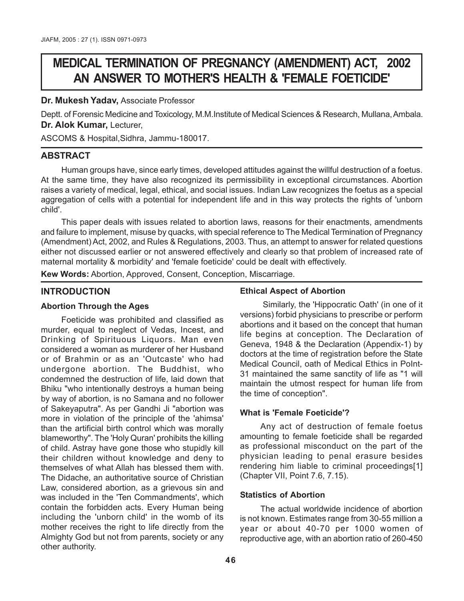# **MEDICAL TERMINATION OF PREGNANCY (AMENDMENT) ACT, 2002 AN ANSWER TO MOTHER'S HEALTH & 'FEMALE FOETICIDE'**

#### **Dr. Mukesh Yadav,** Associate Professor

Deptt. of Forensic Medicine and Toxicology, M.M.Institute of Medical Sciences & Research, Mullana, Ambala. **Dr. Alok Kumar,** Lecturer,

ASCOMS & Hospital,Sidhra, Jammu-180017.

## **ABSTRACT**

Human groups have, since early times, developed attitudes against the willful destruction of a foetus. At the same time, they have also recognized its permissibility in exceptional circumstances. Abortion raises a variety of medical, legal, ethical, and social issues. Indian Law recognizes the foetus as a special aggregation of cells with a potential for independent life and in this way protects the rights of 'unborn child'.

This paper deals with issues related to abortion laws, reasons for their enactments, amendments and failure to implement, misuse by quacks, with special reference to The Medical Termination of Pregnancy (Amendment) Act, 2002, and Rules & Regulations, 2003. Thus, an attempt to answer for related questions either not discussed earlier or not answered effectively and clearly so that problem of increased rate of maternal mortality & morbidity' and 'female foeticide' could be dealt with effectively.

**Kew Words:** Abortion, Approved, Consent, Conception, Miscarriage.

## **INTRODUCTION**

#### **Abortion Through the Ages**

Foeticide was prohibited and classified as murder, equal to neglect of Vedas, Incest, and Drinking of Spirituous Liquors. Man even considered a woman as murderer of her Husband or of Brahmin or as an 'Outcaste' who had undergone abortion. The Buddhist, who condemned the destruction of life, laid down that Bhiku "who intentionally destroys a human being by way of abortion, is no Samana and no follower of Sakeyaputra". As per Gandhi Ji "abortion was more in violation of the principle of the 'ahimsa' than the artificial birth control which was morally blameworthy". The 'Holy Quran' prohibits the killing of child. Astray have gone those who stupidly kill their children without knowledge and deny to themselves of what Allah has blessed them with. The Didache, an authoritative source of Christian Law, considered abortion, as a grievous sin and was included in the 'Ten Commandments', which contain the forbidden acts. Every Human being including the 'unborn child' in the womb of its mother receives the right to life directly from the Almighty God but not from parents, society or any other authority.

#### **Ethical Aspect of Abortion**

 Similarly, the 'Hippocratic Oath' (in one of it versions) forbid physicians to prescribe or perform abortions and it based on the concept that human life begins at conception. The Declaration of Geneva, 1948 & the Declaration (Appendix-1) by doctors at the time of registration before the State Medical Council, oath of Medical Ethics in PoInt-31 maintained the same sanctity of life as "1 will maintain the utmost respect for human life from the time of conception".

## **What is 'Female Foeticide'?**

Any act of destruction of female foetus amounting to female foeticide shall be regarded as professional misconduct on the part of the physician leading to penal erasure besides rendering him liable to criminal proceedings[1] (Chapter VII, Point 7.6, 7.15).

#### **Statistics of Abortion**

The actual worldwide incidence of abortion is not known. Estimates range from 30-55 million a year or about 40-70 per 1000 women of reproductive age, with an abortion ratio of 260-450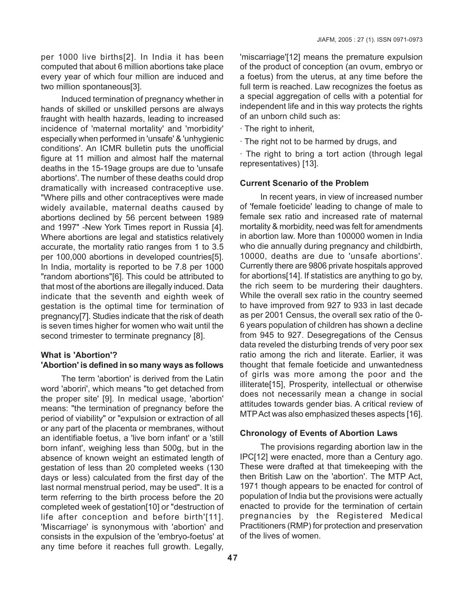per 1000 live births[2]. In India it has been computed that about 6 million abortions take place every year of which four million are induced and two million spontaneous[3].

Induced termination of pregnancy whether in hands of skilled or unskilled persons are always fraught with health hazards, leading to increased incidence of 'maternal mortality' and 'morbidity' especially when performed in 'unsafe' & 'unhygienic conditions'. An ICMR bulletin puts the unofficial figure at 11 million and almost half the maternal deaths in the 15-19age groups are due to 'unsafe abortions'. The number of these deaths could drop dramatically with increased contraceptive use. "Where pills and other contraceptives were made widely available, maternal deaths caused by abortions declined by 56 percent between 1989 and 1997" -New York Times report in Russia [4]. Where abortions are legal and statistics relatively accurate, the mortality ratio ranges from 1 to 3.5 per 100,000 abortions in developed countries[5]. In India, mortality is reported to be 7.8 per 1000 "random abortions"[6]. This could be attributed to that most of the abortions are illegally induced. Data indicate that the seventh and eighth week of gestation is the optimal time for termination of pregnancy[7]. Studies indicate that the risk of death is seven times higher for women who wait until the second trimester to terminate pregnancy [8].

## **What is 'Abortion'? 'Abortion' is defined in so many ways as follows**

The term 'abortion' is derived from the Latin word 'aboriri', which means "to get detached from the proper site' [9]. In medical usage, 'abortion' means: "the termination of pregnancy before the period of viability" or "expulsion or extraction of all or any part of the placenta or membranes, without an identifiable foetus, a 'live born infant' or a 'still born infant', weighing less than 500g, but in the absence of known weight an estimated length of gestation of less than 20 completed weeks (130 days or less) calculated from the first day of the last normal menstrual period, may be used". It is a term referring to the birth process before the 20 completed week of gestation[10] or "destruction of life after conception and before birth'[11]. 'Miscarriage' is synonymous with 'abortion' and consists in the expulsion of the 'embryo-foetus' at any time before it reaches full growth. Legally,

'miscarriage'[12] means the premature expulsion of the product of conception (an ovum, embryo or a foetus) from the uterus, at any time before the full term is reached. Law recognizes the foetus as a special aggregation of cells with a potential for independent life and in this way protects the rights of an unborn child such as:

- · The right to inherit,
- · The right not to be harmed by drugs, and

· The right to bring a tort action (through legal representatives) [13].

## **Current Scenario of the Problem**

In recent years, in view of increased number of 'female foeticide' leading to change of male to female sex ratio and increased rate of maternal mortality & morbidity, need was felt for amendments in abortion law. More than 100000 women in India who die annually during pregnancy and childbirth, 10000, deaths are due to 'unsafe abortions'. Currently there are 9806 private hospitals approved for abortions[14]. If statistics are anything to go by, the rich seem to be murdering their daughters. While the overall sex ratio in the country seemed to have improved from 927 to 933 in last decade as per 2001 Census, the overall sex ratio of the 0- 6 years population of children has shown a decline from 945 to 927. Desegregations of the Census data reveled the disturbing trends of very poor sex ratio among the rich and literate. Earlier, it was thought that female foeticide and unwantedness of girls was more among the poor and the illiterate[15], Prosperity, intellectual or otherwise does not necessarily mean a change in social attitudes towards gender bias. A critical review of MTP Act was also emphasized theses aspects [16].

#### **Chronology of Events of Abortion Laws**

The provisions regarding abortion law in the IPC[12] were enacted, more than a Century ago. These were drafted at that timekeeping with the then British Law on the 'abortion'. The MTP Act, 1971 though appears to be enacted for control of population of India but the provisions were actually enacted to provide for the termination of certain pregnancies by the Registered Medical Practitioners (RMP) for protection and preservation of the lives of women.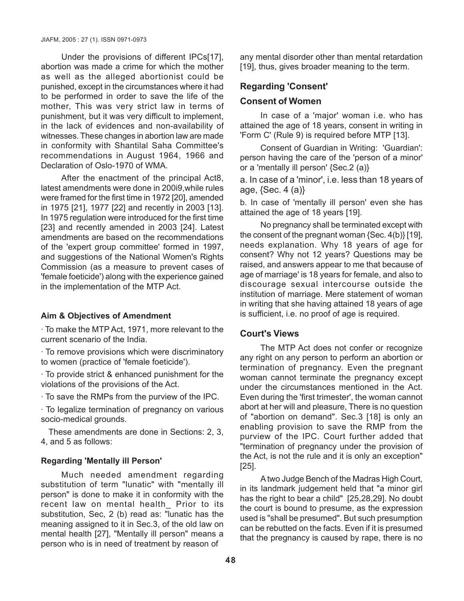Under the provisions of different IPCs[17], abortion was made a crime for which the mother as well as the alleged abortionist could be punished, except in the circumstances where it had to be performed in order to save the life of the mother, This was very strict law in terms of punishment, but it was very difficult to implement, in the lack of evidences and non-availability of witnesses. These changes in abortion law are made in conformity with Shantilal Saha Committee's recommendations in August 1964, 1966 and Declaration of Oslo-1970 of WMA.

After the enactment of the principal Act8, latest amendments were done in 200i9,while rules were framed for the first time in 1972 [20], amended in 1975 [21], 1977 [22] and recently in 2003 [13]. In 1975 regulation were introduced for the first time [23] and recently amended in 2003 [24]. Latest amendments are based on the recommendations of the 'expert group committee' formed in 1997, and suggestions of the National Women's Rights Commission (as a measure to prevent cases of 'female foeticide') along with the experience gained in the implementation of the MTP Act.

#### **Aim & Objectives of Amendment**

· To make the MTP Act, 1971, more relevant to the current scenario of the India.

· To remove provisions which were discriminatory to women (practice of 'female foeticide').

· To provide strict & enhanced punishment for the violations of the provisions of the Act.

· To save the RMPs from the purview of the IPC.

· To legalize termination of pregnancy on various socio-medical grounds.

 These amendments are done in Sections: 2, 3, 4, and 5 as follows:

#### **Regarding 'Mentally ill Person'**

Much needed amendment regarding substitution of term "lunatic" with "mentally ill person" is done to make it in conformity with the recent law on mental health\_ Prior to its substitution, Sec, 2 (b) read as: "lunatic has the meaning assigned to it in Sec.3, of the old law on mental health [27], "Mentally ill person" means a person who is in need of treatment by reason of

any mental disorder other than mental retardation [19], thus, gives broader meaning to the term.

## **Regarding 'Consent'**

#### **Consent of Women**

In case of a 'major' woman i.e. who has attained the age of 18 years, consent in writing in 'Form C' (Rule 9) is required before MTP [13].

Consent of Guardian in Writing: 'Guardian': person having the care of the 'person of a minor' or a 'mentally ill person' {Sec.2 (a)}

a. In case of a 'minor', i.e. less than 18 years of age,  ${Sec. 4 (a)}$ 

b. In case of 'mentally ill person' even she has attained the age of 18 years [19].

No pregnancy shall be terminated except with the consent of the pregnant woman {Sec. 4(b)} [19], needs explanation. Why 18 years of age for consent? Why not 12 years? Questions may be raised, and answers appear to me that because of age of marriage' is 18 years for female, and also to discourage sexual intercourse outside the institution of marriage. Mere statement of woman in writing that she having attained 18 years of age is sufficient, i.e. no proof of age is required.

## **Court's Views**

The MTP Act does not confer or recognize any right on any person to perform an abortion or termination of pregnancy. Even the pregnant woman cannot terminate the pregnancy except under the circumstances mentioned in the Act. Even during the 'first trimester', the woman cannot abort at her will and pleasure, There is no question of "abortion on demand". Sec.3 [18] is only an enabling provision to save the RMP from the purview of the IPC. Court further added that "termination of pregnancy under the provision of the Act, is not the rule and it is only an exception" [25].

A two Judge Bench of the Madras High Court, in its landmark judgement held that "a minor girl has the right to bear a child" [25,28,29]. No doubt the court is bound to presume, as the expression used is "shall be presumed". But such presumption can be rebutted on the facts. Even if it is presumed that the pregnancy is caused by rape, there is no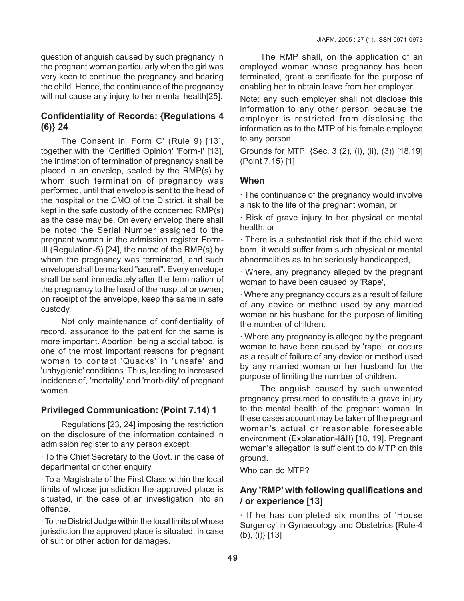question of anguish caused by such pregnancy in the pregnant woman particularly when the girl was very keen to continue the pregnancy and bearing the child. Hence, the continuance of the pregnancy will not cause any injury to her mental health[25].

## **Confidentiality of Records: {Regulations 4 (6)} 24**

The Consent in 'Form C' (Rule 9) [13], together with the 'Certified Opinion' 'Form-I' [13], the intimation of termination of pregnancy shall be placed in an envelop, sealed by the RMP(s) by whom such termination of pregnancy was performed, until that envelop is sent to the head of the hospital or the CMO of the District, it shall be kept in the safe custody of the concerned RMP(s) as the case may be. On every envelop there shall be noted the Serial Number assigned to the pregnant woman in the admission register Form-III (Regulation-5) [24], the name of the RMP(s) by whom the pregnancy was terminated, and such envelope shall be marked "secret". Every envelope shall be sent immediately after the termination of the pregnancy to the head of the hospital or owner; on receipt of the envelope, keep the same in safe custody.

Not only maintenance of confidentiality of record, assurance to the patient for the same is more important. Abortion, being a social taboo, is one of the most important reasons for pregnant woman to contact 'Quacks' in 'unsafe' and 'unhygienic' conditions. Thus, leading to increased incidence of, 'mortality' and 'morbidity' of pregnant women.

## **Privileged Communication: (Point 7.14) 1**

Regulations [23, 24] imposing the restriction on the disclosure of the information contained in admission register to any person except:

· To the Chief Secretary to the Govt. in the case of departmental or other enquiry.

· To a Magistrate of the First Class within the local limits of whose jurisdiction the approved place is situated, in the case of an investigation into an offence.

· To the District Judge within the local limits of whose jurisdiction the approved place is situated, in case of suit or other action for damages.

The RMP shall, on the application of an employed woman whose pregnancy has been terminated, grant a certificate for the purpose of enabling her to obtain leave from her employer.

Note: any such employer shall not disclose this information to any other person because the employer is restricted from disclosing the information as to the MTP of his female employee to any person.

Grounds for MTP: {Sec. 3 (2), (i), (ii), (3)} [18,19] (Point 7.15) [1]

## **When**

· The continuance of the pregnancy would involve a risk to the life of the pregnant woman, or

· Risk of grave injury to her physical or mental health; or

· There is a substantial risk that if the child were born, it would suffer from such physical or mental abnormalities as to be seriously handicapped,

· Where, any pregnancy alleged by the pregnant woman to have been caused by 'Rape',

· Where any pregnancy occurs as a result of failure of any device or method used by any married woman or his husband for the purpose of limiting the number of children.

· Where any pregnancy is alleged by the pregnant woman to have been caused by 'rape', or occurs as a result of failure of any device or method used by any married woman or her husband for the purpose of limiting the number of children.

The anguish caused by such unwanted pregnancy presumed to constitute a grave injury to the mental health of the pregnant woman. In these cases account may be taken of the pregnant woman's actual or reasonable foreseeable environment (Explanation-I&II) [18, 19]. Pregnant woman's allegation is sufficient to do MTP on this ground.

Who can do MTP?

## **Any 'RMP' with following qualifications and / or experience [13]**

· If he has completed six months of 'House Surgency' in Gynaecology and Obstetrics {Rule-4 (b), (i)} [13]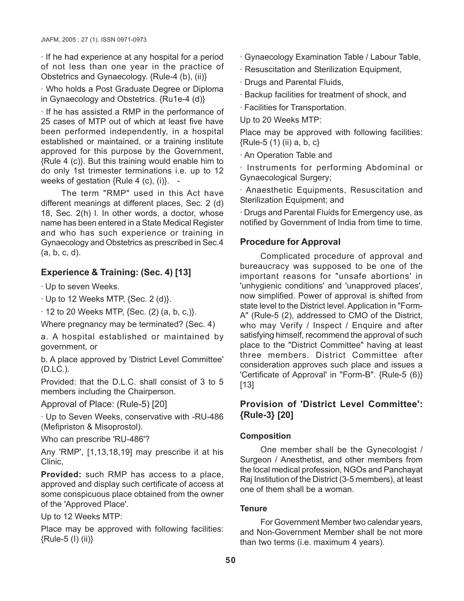· If he had experience at any hospital for a period of not less than one year in the practice of Obstetrics and Gynaecology. {Rule-4 (b), (ii)}

· Who holds a Post Graduate Degree or Diploma in Gynaecology and Obstetrics. {Ru1e-4 (d)}

· If he has assisted a RMP in the performance of 25 cases of MTP out of which at least five have been performed independently, in a hospital established or maintained, or a training institute approved for this purpose by the Government, {Rule 4 (c)}. But this training would enable him to do only 1st trimester terminations i.e. up to 12 weeks of gestation {Rule 4 (c), (i)}. -

The term "RMP" used in this Act have different meanings at different places, Sec. 2 (d) 18, Sec. 2(h) l. In other words, a doctor, whose name has been entered in a State Medical Register and who has such experience or training in Gynaecology and Obstetrics as prescribed in Sec.4 (a, b, c, d).

# **Experience & Training: (Sec. 4) [13]**

· Up to seven Weeks.

 $\cdot$  Up to 12 Weeks MTP, {Sec. 2 (d)}.

 $\cdot$  12 to 20 Weeks MTP, {Sec. (2) (a, b, c,)}.

Where pregnancy may be terminated? (Sec. 4)

a. A hospital established or maintained by government, or

b. A place approved by 'District Level Committee' (D.LC.).

Provided: that the D.L.C. shall consist of 3 to 5 members including the Chairperson.

Approval of Place: (Rule-5) [20]

· Up to Seven Weeks, conservative with -RU-486 (Mefipriston & Misoprostol).

Who can prescribe 'RU-486'?

Any 'RMP', [1,13,18,19] may prescribe it at his Clinic,

**Provided:** such RMP has access to a place, approved and display such certificate of access at some conspicuous place obtained from the owner of the 'Approved Place'.

Up to 12 Weeks MTP:

Place may be approved with following facilities: {Rule-5 (I) (ii)}

· Gynaecology Examination Table / Labour Table,

- · Resuscitation and Sterilization Equipment,
- · Drugs and Parental Fluids,
- · Backup facilities for treatment of shock, and

· Facilities for Transportation.

Up to 20 Weeks MTP:

Place may be approved with following facilities:  ${Rule-5(1)(ii) a, b, c}$ 

· An Operation Table and

· Instruments for performing Abdominal or Gynaecological Surgery;

· Anaesthetic Equipments, Resuscitation and Sterilization Equipment; and

· Drugs and Parental Fluids for Emergency use, as notified by Government of India from time to time.

# **Procedure for Approval**

Complicated procedure of approval and bureaucracy was supposed to be one of the important reasons for "unsafe abortions' in 'unhygienic conditions' and 'unapproved places', now simplified. Power of approval is shifted from state level to the District level. Application in "Form-A" (Rule-5 (2), addressed to CMO of the District, who may Verify / Inspect / Enquire and after satisfying himself, recommend the approval of such place to the "District Committee" having at least three members. District Committee after consideration approves such place and issues a 'Certificate of Approval' in "Form-B". {Rule-5 (6)} [13]

## **Provision of 'District Level Committee': {Rule-3} [20]**

## **Composition**

One member shall be the Gynecologist / Surgeon / Anesthetist, and other members from the local medical profession, NGOs and Panchayat Raj Institution of the District (3-5 members), at least one of them shall be a woman.

## **Tenure**

For Government Member two calendar years, and Non-Government Member shall be not more than two terms (i.e. maximum 4 years).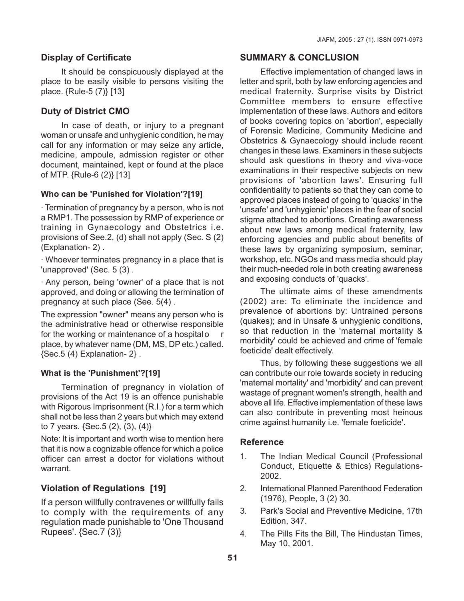## **Display of Certificate**

It should be conspicuously displayed at the place to be easily visible to persons visiting the place. {Rule-5 (7)} [13]

## **Duty of District CMO**

In case of death, or injury to a pregnant woman or unsafe and unhygienic condition, he may call for any information or may seize any article, medicine, ampoule, admission register or other document, maintained, kept or found at the place of MTP. {Rule-6 (2)} [13]

#### **Who can be 'Punished for Violation'?[19]**

· Termination of pregnancy by a person, who is not a RMP1. The possession by RMP of experience or training in Gynaecology and Obstetrics i.e. provisions of See.2, (d) shall not apply (Sec. S (2) (Explanation- 2) .

· Whoever terminates pregnancy in a place that is 'unapproved' (Sec. 5 (3) .

· Any person, being 'owner' of a place that is not approved, and doing or allowing the termination of pregnancy at such place (See. 5(4) .

The expression "owner" means any person who is the administrative head or otherwise responsible for the working or maintenance of a hospitalo r place, by whatever name (DM, MS, DP etc.) called. {Sec.5 (4) Explanation- 2} .

#### **What is the 'Punishment'?[19]**

Termination of pregnancy in violation of provisions of the Act 19 is an offence punishable with Rigorous Imprisonment (R.I.) for a term which shall not be less than 2 years but which may extend to 7 years. {Sec.5 (2), (3), (4)}

Note: It is important and worth wise to mention here that it is now a cognizable offence for which a police officer can arrest a doctor for violations without warrant.

## **Violation of Regulations [19]**

If a person willfully contravenes or willfully fails to comply with the requirements of any regulation made punishable to 'One Thousand Rupees'. {Sec.7 (3)}

## **SUMMARY & CONCLUSION**

Effective implementation of changed laws in letter and sprit, both by law enforcing agencies and medical fraternity. Surprise visits by District Committee members to ensure effective implementation of these laws. Authors and editors of books covering topics on 'abortion', especially of Forensic Medicine, Community Medicine and Obstetrics & Gynaecology should include recent changes in these laws. Examiners in these subjects should ask questions in theory and viva-voce examinations in their respective subjects on new provisions of 'abortion laws'. Ensuring full confidentiality to patients so that they can come to approved places instead of going to 'quacks' in the 'unsafe' and 'unhygienic' places in the fear of social stigma attached to abortions. Creating awareness about new laws among medical fraternity, law enforcing agencies and public about benefits of these laws by organizing symposium, seminar, workshop, etc. NGOs and mass media should play their much-needed role in both creating awareness and exposing conducts of 'quacks'.

The ultimate aims of these amendments (2002) are: To eliminate the incidence and prevalence of abortions by: Untrained persons (quakes); and in Unsafe & unhygienic conditions, so that reduction in the 'maternal mortality & morbidity' could be achieved and crime of 'female foeticide' dealt effectively.

Thus, by following these suggestions we all can contribute our role towards society in reducing 'maternal mortality' and 'morbidity' and can prevent wastage of pregnant women's strength, health and above all life. Effective implementation of these laws can also contribute in preventing most heinous crime against humanity i.e. 'female foeticide'.

#### **Reference**

- 1. The Indian Medical Council (Professional Conduct, Etiquette & Ethics) Regulations-2002.
- 2. International Planned Parenthood Federation (1976), People, 3 (2) 30.
- 3. Park's Social and Preventive Medicine, 17th Edition, 347.
- 4. The Pills Fits the Bill, The Hindustan Times, May 10, 2001.